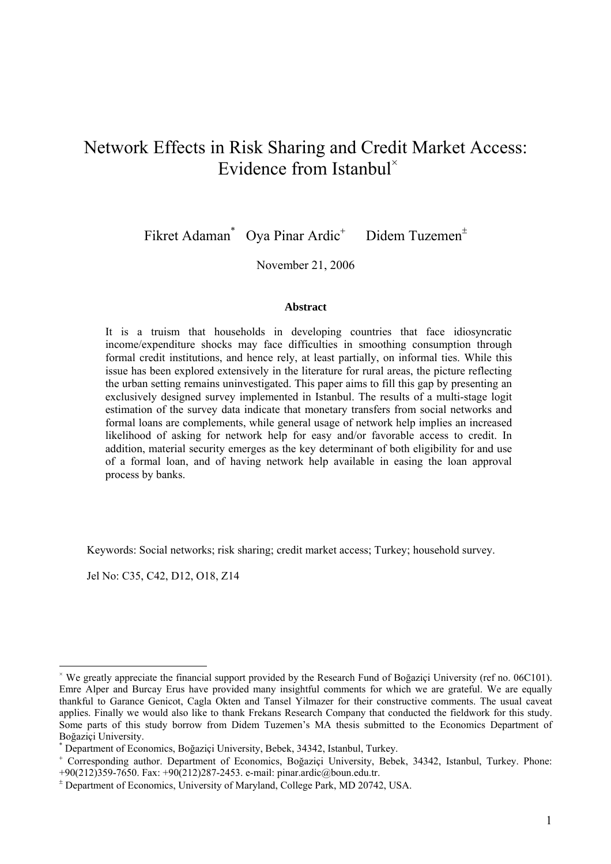# Network Effects in Risk Sharing and Credit Market Access: Evidence from Istanbul<sup>\*</sup>

Fikret Adaman\* Oya Pinar Ardic<sup>+</sup> Didem Tuzemen<sup>±</sup>

November 21, 2006

#### **Abstract**

It is a truism that households in developing countries that face idiosyncratic income/expenditure shocks may face difficulties in smoothing consumption through formal credit institutions, and hence rely, at least partially, on informal ties. While this issue has been explored extensively in the literature for rural areas, the picture reflecting the urban setting remains uninvestigated. This paper aims to fill this gap by presenting an exclusively designed survey implemented in Istanbul. The results of a multi-stage logit estimation of the survey data indicate that monetary transfers from social networks and formal loans are complements, while general usage of network help implies an increased likelihood of asking for network help for easy and/or favorable access to credit. In addition, material security emerges as the key determinant of both eligibility for and use of a formal loan, and of having network help available in easing the loan approval process by banks.

Keywords: Social networks; risk sharing; credit market access; Turkey; household survey.

Jel No: C35, C42, D12, O18, Z14

<sup>×</sup> We greatly appreciate the financial support provided by the Research Fund of Boğaziçi University (ref no. 06C101). Emre Alper and Burcay Erus have provided many insightful comments for which we are grateful. We are equally thankful to Garance Genicot, Cagla Okten and Tansel Yilmazer for their constructive comments. The usual caveat applies. Finally we would also like to thank Frekans Research Company that conducted the fieldwork for this study. Some parts of this study borrow from Didem Tuzemen's MA thesis submitted to the Economics Department of Boğaziçi University. \*

Department of Economics, Boğaziçi University, Bebek, 34342, Istanbul, Turkey.

<sup>+</sup> Corresponding author. Department of Economics, Boğaziçi University, Bebek, 34342, Istanbul, Turkey. Phone: +90(212)359-7650. Fax: +90(212)287-2453. e-mail: pinar.ardic@boun.edu.tr.

<sup>±</sup> Department of Economics, University of Maryland, College Park, MD 20742, USA.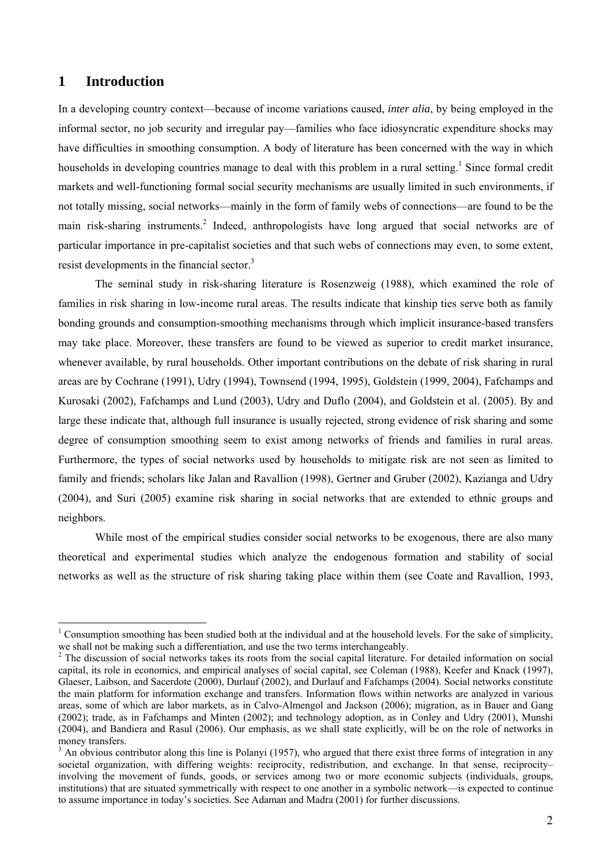## **1 Introduction**

 $\overline{a}$ 

In a developing country context—because of income variations caused, *inter alia*, by being employed in the informal sector, no job security and irregular pay—families who face idiosyncratic expenditure shocks may have difficulties in smoothing consumption. A body of literature has been concerned with the way in which households in developing countries manage to deal with this problem in a rural setting.<sup>1</sup> Since formal credit markets and well-functioning formal social security mechanisms are usually limited in such environments, if not totally missing, social networks—mainly in the form of family webs of connections—are found to be the main risk-sharing instruments.<sup>2</sup> Indeed, anthropologists have long argued that social networks are of particular importance in pre-capitalist societies and that such webs of connections may even, to some extent, resist developments in the financial sector.<sup>3</sup>

The seminal study in risk-sharing literature is Rosenzweig (1988), which examined the role of families in risk sharing in low-income rural areas. The results indicate that kinship ties serve both as family bonding grounds and consumption-smoothing mechanisms through which implicit insurance-based transfers may take place. Moreover, these transfers are found to be viewed as superior to credit market insurance, whenever available, by rural households. Other important contributions on the debate of risk sharing in rural areas are by Cochrane (1991), Udry (1994), Townsend (1994, 1995), Goldstein (1999, 2004), Fafchamps and Kurosaki (2002), Fafchamps and Lund (2003), Udry and Duflo (2004), and Goldstein et al. (2005). By and large these indicate that, although full insurance is usually rejected, strong evidence of risk sharing and some degree of consumption smoothing seem to exist among networks of friends and families in rural areas. Furthermore, the types of social networks used by households to mitigate risk are not seen as limited to family and friends; scholars like Jalan and Ravallion (1998), Gertner and Gruber (2002), Kazianga and Udry (2004), and Suri (2005) examine risk sharing in social networks that are extended to ethnic groups and neighbors.

While most of the empirical studies consider social networks to be exogenous, there are also many theoretical and experimental studies which analyze the endogenous formation and stability of social networks as well as the structure of risk sharing taking place within them (see Coate and Ravallion, 1993,

 $1$  Consumption smoothing has been studied both at the individual and at the household levels. For the sake of simplicity, we shall not be making such a differentiation, and use the two terms interchangeably.

<sup>&</sup>lt;sup>2</sup> The discussion of social networks takes its roots from the social capital literature. For detailed information on social capital, its role in economics, and empirical analyses of social capital, see Coleman (1988), Keefer and Knack (1997), Glaeser, Laibson, and Sacerdote (2000), Durlauf (2002), and Durlauf and Fafchamps (2004). Social networks constitute the main platform for information exchange and transfers. Information flows within networks are analyzed in various areas, some of which are labor markets, as in Calvo-Almengol and Jackson (2006); migration, as in Bauer and Gang (2002); trade, as in Fafchamps and Minten (2002); and technology adoption, as in Conley and Udry (2001), Munshi (2004), and Bandiera and Rasul (2006). Our emphasis, as we shall state explicitly, will be on the role of networks in money transfers.

 $3$  An obvious contributor along this line is Polanyi (1957), who argued that there exist three forms of integration in any societal organization, with differing weights: reciprocity, redistribution, and exchange. In that sense, reciprocity– involving the movement of funds, goods, or services among two or more economic subjects (individuals, groups, institutions) that are situated symmetrically with respect to one another in a symbolic network—is expected to continue to assume importance in today's societies. See Adaman and Madra (2001) for further discussions.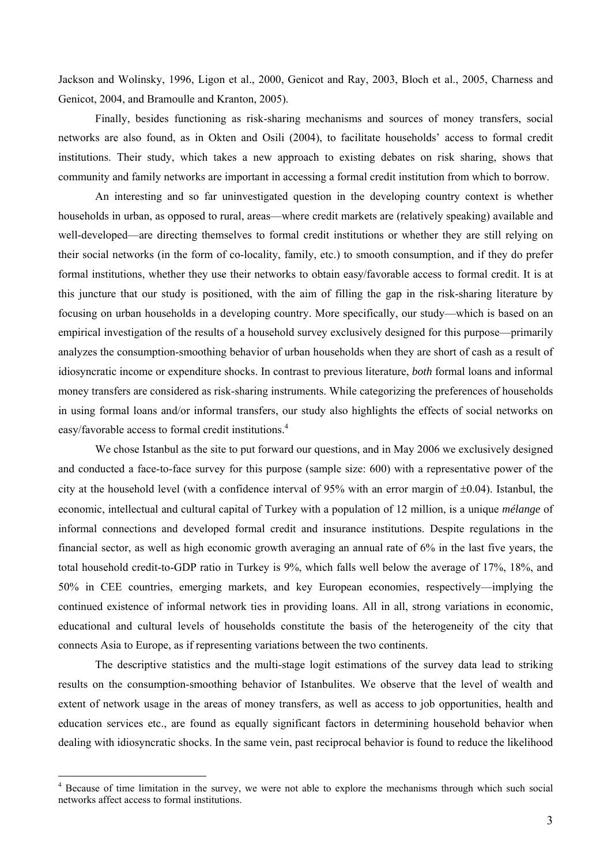Jackson and Wolinsky, 1996, Ligon et al., 2000, Genicot and Ray, 2003, Bloch et al., 2005, Charness and Genicot, 2004, and Bramoulle and Kranton, 2005).

Finally, besides functioning as risk-sharing mechanisms and sources of money transfers, social networks are also found, as in Okten and Osili (2004), to facilitate households' access to formal credit institutions. Their study, which takes a new approach to existing debates on risk sharing, shows that community and family networks are important in accessing a formal credit institution from which to borrow.

An interesting and so far uninvestigated question in the developing country context is whether households in urban, as opposed to rural, areas—where credit markets are (relatively speaking) available and well-developed—are directing themselves to formal credit institutions or whether they are still relying on their social networks (in the form of co-locality, family, etc.) to smooth consumption, and if they do prefer formal institutions, whether they use their networks to obtain easy/favorable access to formal credit. It is at this juncture that our study is positioned, with the aim of filling the gap in the risk-sharing literature by focusing on urban households in a developing country. More specifically, our study—which is based on an empirical investigation of the results of a household survey exclusively designed for this purpose—primarily analyzes the consumption-smoothing behavior of urban households when they are short of cash as a result of idiosyncratic income or expenditure shocks. In contrast to previous literature, *both* formal loans and informal money transfers are considered as risk-sharing instruments. While categorizing the preferences of households in using formal loans and/or informal transfers, our study also highlights the effects of social networks on easy/favorable access to formal credit institutions.<sup>4</sup>

We chose Istanbul as the site to put forward our questions, and in May 2006 we exclusively designed and conducted a face-to-face survey for this purpose (sample size: 600) with a representative power of the city at the household level (with a confidence interval of 95% with an error margin of  $\pm 0.04$ ). Istanbul, the economic, intellectual and cultural capital of Turkey with a population of 12 million, is a unique *mélange* of informal connections and developed formal credit and insurance institutions. Despite regulations in the financial sector, as well as high economic growth averaging an annual rate of 6% in the last five years, the total household credit-to-GDP ratio in Turkey is 9%, which falls well below the average of 17%, 18%, and 50% in CEE countries, emerging markets, and key European economies, respectively—implying the continued existence of informal network ties in providing loans. All in all, strong variations in economic, educational and cultural levels of households constitute the basis of the heterogeneity of the city that connects Asia to Europe, as if representing variations between the two continents.

The descriptive statistics and the multi-stage logit estimations of the survey data lead to striking results on the consumption-smoothing behavior of Istanbulites. We observe that the level of wealth and extent of network usage in the areas of money transfers, as well as access to job opportunities, health and education services etc., are found as equally significant factors in determining household behavior when dealing with idiosyncratic shocks. In the same vein, past reciprocal behavior is found to reduce the likelihood

<sup>&</sup>lt;sup>4</sup> Because of time limitation in the survey, we were not able to explore the mechanisms through which such social networks affect access to formal institutions.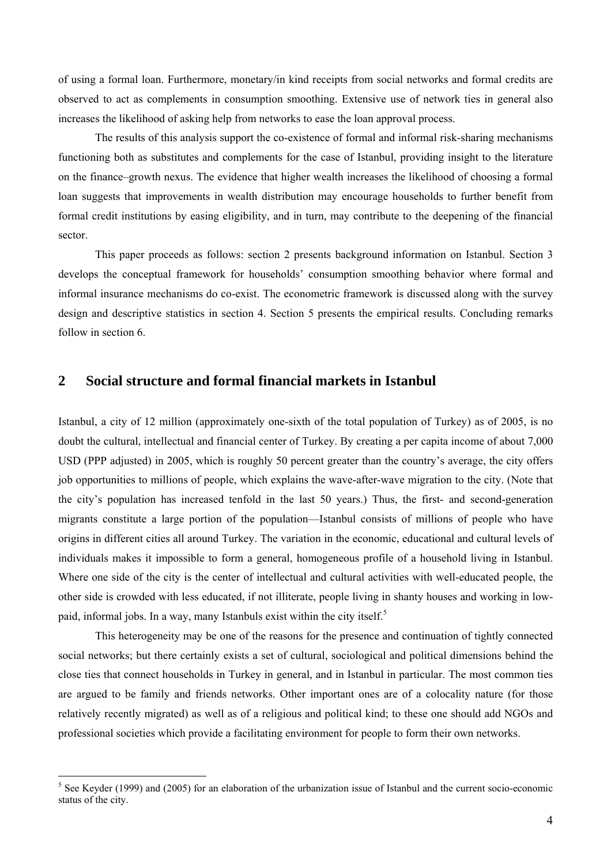of using a formal loan. Furthermore, monetary/in kind receipts from social networks and formal credits are observed to act as complements in consumption smoothing. Extensive use of network ties in general also increases the likelihood of asking help from networks to ease the loan approval process.

The results of this analysis support the co-existence of formal and informal risk-sharing mechanisms functioning both as substitutes and complements for the case of Istanbul, providing insight to the literature on the finance–growth nexus. The evidence that higher wealth increases the likelihood of choosing a formal loan suggests that improvements in wealth distribution may encourage households to further benefit from formal credit institutions by easing eligibility, and in turn, may contribute to the deepening of the financial sector.

This paper proceeds as follows: section 2 presents background information on Istanbul. Section 3 develops the conceptual framework for households' consumption smoothing behavior where formal and informal insurance mechanisms do co-exist. The econometric framework is discussed along with the survey design and descriptive statistics in section 4. Section 5 presents the empirical results. Concluding remarks follow in section 6.

## **2 Social structure and formal financial markets in Istanbul**

Istanbul, a city of 12 million (approximately one-sixth of the total population of Turkey) as of 2005, is no doubt the cultural, intellectual and financial center of Turkey. By creating a per capita income of about 7,000 USD (PPP adjusted) in 2005, which is roughly 50 percent greater than the country's average, the city offers job opportunities to millions of people, which explains the wave-after-wave migration to the city. (Note that the city's population has increased tenfold in the last 50 years.) Thus, the first- and second-generation migrants constitute a large portion of the population—Istanbul consists of millions of people who have origins in different cities all around Turkey. The variation in the economic, educational and cultural levels of individuals makes it impossible to form a general, homogeneous profile of a household living in Istanbul. Where one side of the city is the center of intellectual and cultural activities with well-educated people, the other side is crowded with less educated, if not illiterate, people living in shanty houses and working in lowpaid, informal jobs. In a way, many Istanbuls exist within the city itself.<sup>5</sup>

This heterogeneity may be one of the reasons for the presence and continuation of tightly connected social networks; but there certainly exists a set of cultural, sociological and political dimensions behind the close ties that connect households in Turkey in general, and in Istanbul in particular. The most common ties are argued to be family and friends networks. Other important ones are of a colocality nature (for those relatively recently migrated) as well as of a religious and political kind; to these one should add NGOs and professional societies which provide a facilitating environment for people to form their own networks.

 $<sup>5</sup>$  See Keyder (1999) and (2005) for an elaboration of the urbanization issue of Istanbul and the current socio-economic</sup> status of the city.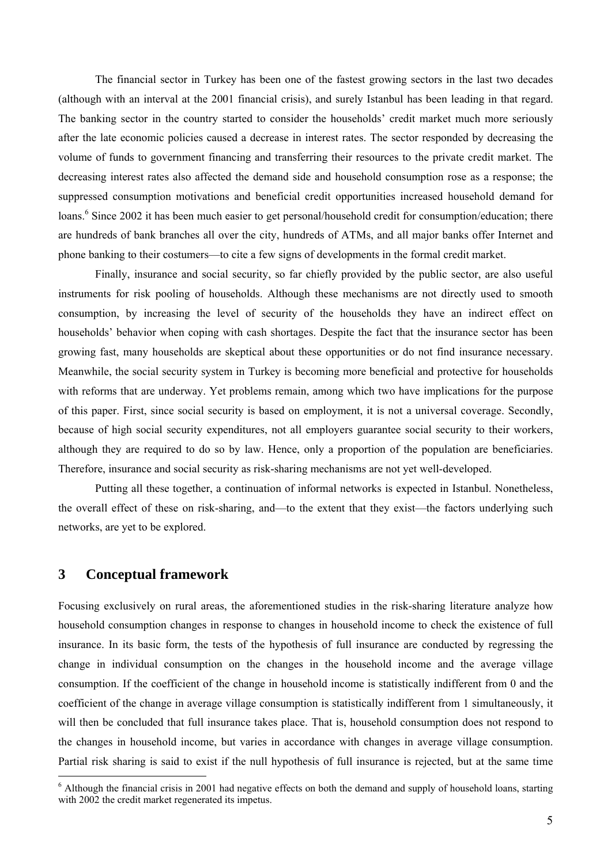The financial sector in Turkey has been one of the fastest growing sectors in the last two decades (although with an interval at the 2001 financial crisis), and surely Istanbul has been leading in that regard. The banking sector in the country started to consider the households' credit market much more seriously after the late economic policies caused a decrease in interest rates. The sector responded by decreasing the volume of funds to government financing and transferring their resources to the private credit market. The decreasing interest rates also affected the demand side and household consumption rose as a response; the suppressed consumption motivations and beneficial credit opportunities increased household demand for loans.<sup>6</sup> Since 2002 it has been much easier to get personal/household credit for consumption/education; there are hundreds of bank branches all over the city, hundreds of ATMs, and all major banks offer Internet and phone banking to their costumers—to cite a few signs of developments in the formal credit market.

Finally, insurance and social security, so far chiefly provided by the public sector, are also useful instruments for risk pooling of households. Although these mechanisms are not directly used to smooth consumption, by increasing the level of security of the households they have an indirect effect on households' behavior when coping with cash shortages. Despite the fact that the insurance sector has been growing fast, many households are skeptical about these opportunities or do not find insurance necessary. Meanwhile, the social security system in Turkey is becoming more beneficial and protective for households with reforms that are underway. Yet problems remain, among which two have implications for the purpose of this paper. First, since social security is based on employment, it is not a universal coverage. Secondly, because of high social security expenditures, not all employers guarantee social security to their workers, although they are required to do so by law. Hence, only a proportion of the population are beneficiaries. Therefore, insurance and social security as risk-sharing mechanisms are not yet well-developed.

Putting all these together, a continuation of informal networks is expected in Istanbul. Nonetheless, the overall effect of these on risk-sharing, and—to the extent that they exist—the factors underlying such networks, are yet to be explored.

### **3 Conceptual framework**

 $\overline{a}$ 

Focusing exclusively on rural areas, the aforementioned studies in the risk-sharing literature analyze how household consumption changes in response to changes in household income to check the existence of full insurance. In its basic form, the tests of the hypothesis of full insurance are conducted by regressing the change in individual consumption on the changes in the household income and the average village consumption. If the coefficient of the change in household income is statistically indifferent from 0 and the coefficient of the change in average village consumption is statistically indifferent from 1 simultaneously, it will then be concluded that full insurance takes place. That is, household consumption does not respond to the changes in household income, but varies in accordance with changes in average village consumption. Partial risk sharing is said to exist if the null hypothesis of full insurance is rejected, but at the same time

 $6$  Although the financial crisis in 2001 had negative effects on both the demand and supply of household loans, starting with 2002 the credit market regenerated its impetus.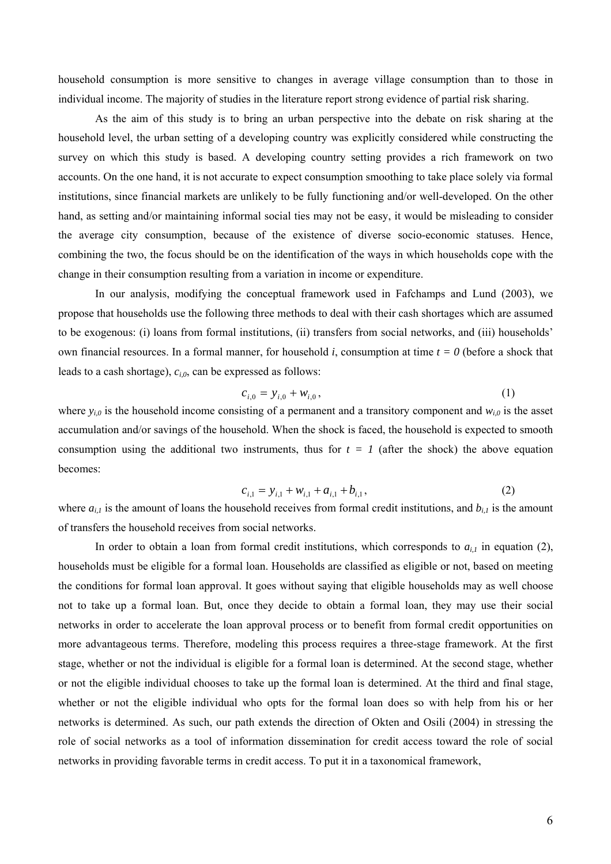household consumption is more sensitive to changes in average village consumption than to those in individual income. The majority of studies in the literature report strong evidence of partial risk sharing.

As the aim of this study is to bring an urban perspective into the debate on risk sharing at the household level, the urban setting of a developing country was explicitly considered while constructing the survey on which this study is based. A developing country setting provides a rich framework on two accounts. On the one hand, it is not accurate to expect consumption smoothing to take place solely via formal institutions, since financial markets are unlikely to be fully functioning and/or well-developed. On the other hand, as setting and/or maintaining informal social ties may not be easy, it would be misleading to consider the average city consumption, because of the existence of diverse socio-economic statuses. Hence, combining the two, the focus should be on the identification of the ways in which households cope with the change in their consumption resulting from a variation in income or expenditure.

In our analysis, modifying the conceptual framework used in Fafchamps and Lund (2003), we propose that households use the following three methods to deal with their cash shortages which are assumed to be exogenous: (i) loans from formal institutions, (ii) transfers from social networks, and (iii) households' own financial resources. In a formal manner, for household *i*, consumption at time *t = 0* (before a shock that leads to a cash shortage), *ci,0*, can be expressed as follows:

$$
c_{i,0} = y_{i,0} + w_{i,0}, \tag{1}
$$

where  $y_{i0}$  is the household income consisting of a permanent and a transitory component and  $w_{i0}$  is the asset accumulation and/or savings of the household. When the shock is faced, the household is expected to smooth consumption using the additional two instruments, thus for  $t = 1$  (after the shock) the above equation becomes:

$$
c_{i,1} = y_{i,1} + w_{i,1} + a_{i,1} + b_{i,1},
$$
\n(2)

where  $a_{i,l}$  is the amount of loans the household receives from formal credit institutions, and  $b_{i,l}$  is the amount of transfers the household receives from social networks.

In order to obtain a loan from formal credit institutions, which corresponds to  $a_{i,l}$  in equation (2), households must be eligible for a formal loan. Households are classified as eligible or not, based on meeting the conditions for formal loan approval. It goes without saying that eligible households may as well choose not to take up a formal loan. But, once they decide to obtain a formal loan, they may use their social networks in order to accelerate the loan approval process or to benefit from formal credit opportunities on more advantageous terms. Therefore, modeling this process requires a three-stage framework. At the first stage, whether or not the individual is eligible for a formal loan is determined. At the second stage, whether or not the eligible individual chooses to take up the formal loan is determined. At the third and final stage, whether or not the eligible individual who opts for the formal loan does so with help from his or her networks is determined. As such, our path extends the direction of Okten and Osili (2004) in stressing the role of social networks as a tool of information dissemination for credit access toward the role of social networks in providing favorable terms in credit access. To put it in a taxonomical framework,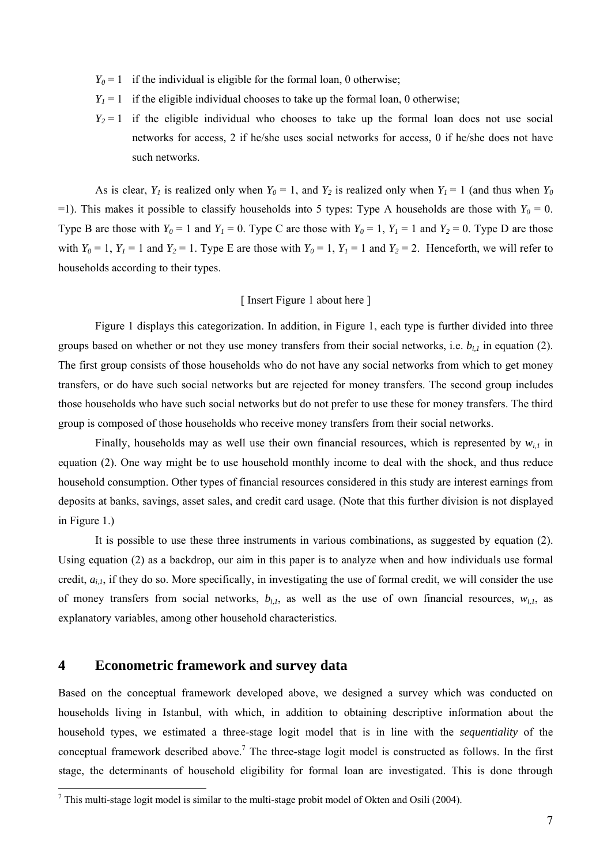- $Y_0 = 1$  if the individual is eligible for the formal loan, 0 otherwise;
- $Y_1 = 1$  if the eligible individual chooses to take up the formal loan, 0 otherwise;
- $Y_2 = 1$  if the eligible individual who chooses to take up the formal loan does not use social networks for access, 2 if he/she uses social networks for access, 0 if he/she does not have such networks.

As is clear,  $Y_1$  is realized only when  $Y_0 = 1$ , and  $Y_2$  is realized only when  $Y_1 = 1$  (and thus when  $Y_0$ =1). This makes it possible to classify households into 5 types: Type A households are those with  $Y_0 = 0$ . Type B are those with  $Y_0 = 1$  and  $Y_1 = 0$ . Type C are those with  $Y_0 = 1$ ,  $Y_1 = 1$  and  $Y_2 = 0$ . Type D are those with  $Y_0 = 1$ ,  $Y_1 = 1$  and  $Y_2 = 1$ . Type E are those with  $Y_0 = 1$ ,  $Y_1 = 1$  and  $Y_2 = 2$ . Henceforth, we will refer to households according to their types.

#### [ Insert Figure 1 about here ]

Figure 1 displays this categorization. In addition, in Figure 1, each type is further divided into three groups based on whether or not they use money transfers from their social networks, i.e. *bi,1* in equation (2). The first group consists of those households who do not have any social networks from which to get money transfers, or do have such social networks but are rejected for money transfers. The second group includes those households who have such social networks but do not prefer to use these for money transfers. The third group is composed of those households who receive money transfers from their social networks.

Finally, households may as well use their own financial resources, which is represented by  $w_{i,j}$  in equation (2). One way might be to use household monthly income to deal with the shock, and thus reduce household consumption. Other types of financial resources considered in this study are interest earnings from deposits at banks, savings, asset sales, and credit card usage. (Note that this further division is not displayed in Figure 1.)

It is possible to use these three instruments in various combinations, as suggested by equation (2). Using equation (2) as a backdrop, our aim in this paper is to analyze when and how individuals use formal credit,  $a_{i,l}$ , if they do so. More specifically, in investigating the use of formal credit, we will consider the use of money transfers from social networks,  $b_{i,l}$ , as well as the use of own financial resources,  $w_{i,l}$ , as explanatory variables, among other household characteristics.

## **4 Econometric framework and survey data**

 $\overline{a}$ 

Based on the conceptual framework developed above, we designed a survey which was conducted on households living in Istanbul, with which, in addition to obtaining descriptive information about the household types, we estimated a three-stage logit model that is in line with the *sequentiality* of the conceptual framework described above.<sup>7</sup> The three-stage logit model is constructed as follows. In the first stage, the determinants of household eligibility for formal loan are investigated. This is done through

<sup>&</sup>lt;sup>7</sup> This multi-stage logit model is similar to the multi-stage probit model of Okten and Osili (2004).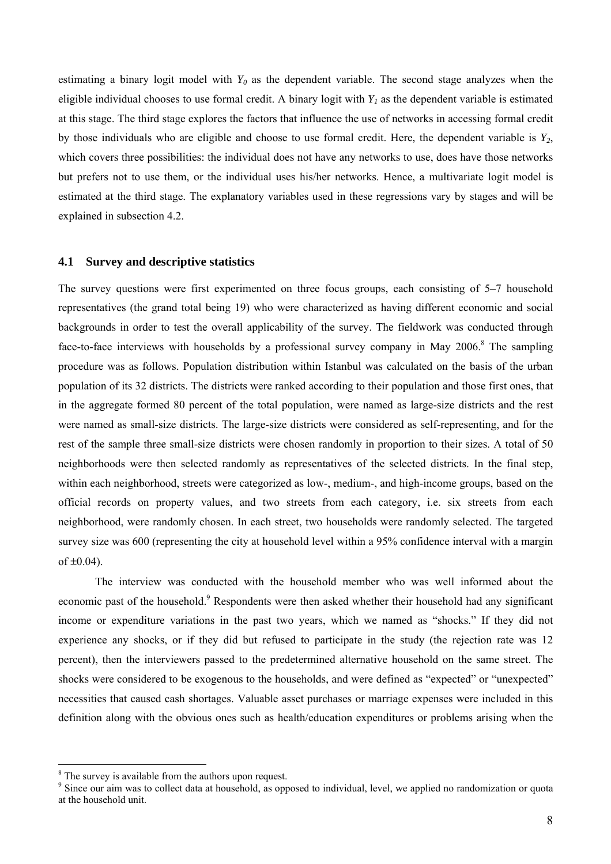estimating a binary logit model with  $Y_0$  as the dependent variable. The second stage analyzes when the eligible individual chooses to use formal credit. A binary logit with  $Y_i$  as the dependent variable is estimated at this stage. The third stage explores the factors that influence the use of networks in accessing formal credit by those individuals who are eligible and choose to use formal credit. Here, the dependent variable is *Y2*, which covers three possibilities: the individual does not have any networks to use, does have those networks but prefers not to use them, or the individual uses his/her networks. Hence, a multivariate logit model is estimated at the third stage. The explanatory variables used in these regressions vary by stages and will be explained in subsection 4.2.

#### **4.1 Survey and descriptive statistics**

The survey questions were first experimented on three focus groups, each consisting of 5–7 household representatives (the grand total being 19) who were characterized as having different economic and social backgrounds in order to test the overall applicability of the survey. The fieldwork was conducted through face-to-face interviews with households by a professional survey company in May 2006.<sup>8</sup> The sampling procedure was as follows. Population distribution within Istanbul was calculated on the basis of the urban population of its 32 districts. The districts were ranked according to their population and those first ones, that in the aggregate formed 80 percent of the total population, were named as large-size districts and the rest were named as small-size districts. The large-size districts were considered as self-representing, and for the rest of the sample three small-size districts were chosen randomly in proportion to their sizes. A total of 50 neighborhoods were then selected randomly as representatives of the selected districts. In the final step, within each neighborhood, streets were categorized as low-, medium-, and high-income groups, based on the official records on property values, and two streets from each category, i.e. six streets from each neighborhood, were randomly chosen. In each street, two households were randomly selected. The targeted survey size was 600 (representing the city at household level within a 95% confidence interval with a margin of  $\pm 0.04$ ).

The interview was conducted with the household member who was well informed about the economic past of the household.<sup>9</sup> Respondents were then asked whether their household had any significant income or expenditure variations in the past two years, which we named as "shocks." If they did not experience any shocks, or if they did but refused to participate in the study (the rejection rate was 12 percent), then the interviewers passed to the predetermined alternative household on the same street. The shocks were considered to be exogenous to the households, and were defined as "expected" or "unexpected" necessities that caused cash shortages. Valuable asset purchases or marriage expenses were included in this definition along with the obvious ones such as health/education expenditures or problems arising when the

 $\frac{8}{9}$  The survey is available from the authors upon request.

<sup>&</sup>lt;sup>9</sup> Since our aim was to collect data at household, as opposed to individual, level, we applied no randomization or quota at the household unit.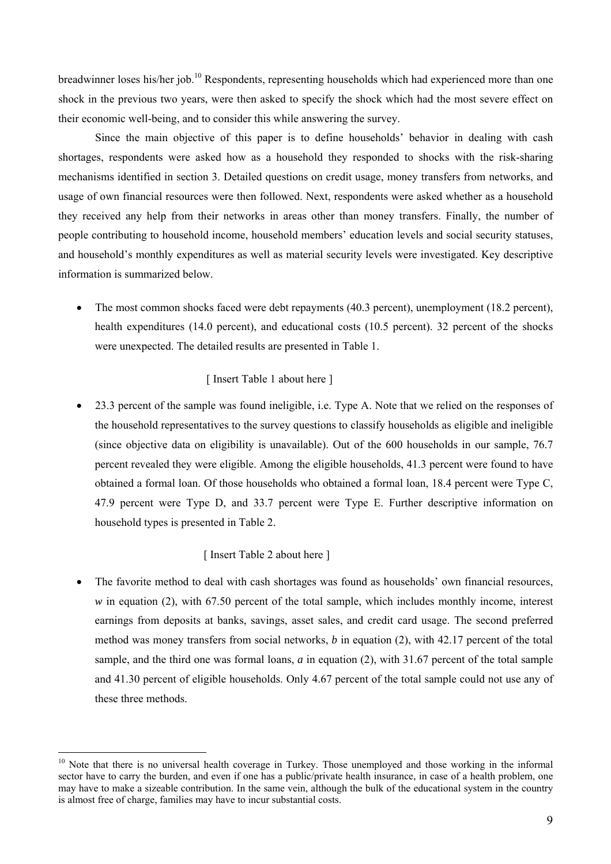breadwinner loses his/her job.10 Respondents, representing households which had experienced more than one shock in the previous two years, were then asked to specify the shock which had the most severe effect on their economic well-being, and to consider this while answering the survey.

Since the main objective of this paper is to define households' behavior in dealing with cash shortages, respondents were asked how as a household they responded to shocks with the risk-sharing mechanisms identified in section 3. Detailed questions on credit usage, money transfers from networks, and usage of own financial resources were then followed. Next, respondents were asked whether as a household they received any help from their networks in areas other than money transfers. Finally, the number of people contributing to household income, household members' education levels and social security statuses, and household's monthly expenditures as well as material security levels were investigated. Key descriptive information is summarized below.

• The most common shocks faced were debt repayments (40.3 percent), unemployment (18.2 percent), health expenditures (14.0 percent), and educational costs (10.5 percent). 32 percent of the shocks were unexpected. The detailed results are presented in Table 1.

#### [ Insert Table 1 about here ]

• 23.3 percent of the sample was found ineligible, i.e. Type A. Note that we relied on the responses of the household representatives to the survey questions to classify households as eligible and ineligible (since objective data on eligibility is unavailable). Out of the 600 households in our sample, 76.7 percent revealed they were eligible. Among the eligible households, 41.3 percent were found to have obtained a formal loan. Of those households who obtained a formal loan, 18.4 percent were Type C, 47.9 percent were Type D, and 33.7 percent were Type E. Further descriptive information on household types is presented in Table 2.

#### [ Insert Table 2 about here ]

 $\overline{a}$ 

• The favorite method to deal with cash shortages was found as households' own financial resources, *w* in equation (2), with 67.50 percent of the total sample, which includes monthly income, interest earnings from deposits at banks, savings, asset sales, and credit card usage. The second preferred method was money transfers from social networks, *b* in equation (2), with 42.17 percent of the total sample, and the third one was formal loans, *a* in equation (2), with 31.67 percent of the total sample and 41.30 percent of eligible households. Only 4.67 percent of the total sample could not use any of these three methods.

<sup>&</sup>lt;sup>10</sup> Note that there is no universal health coverage in Turkey. Those unemployed and those working in the informal sector have to carry the burden, and even if one has a public/private health insurance, in case of a health problem, one may have to make a sizeable contribution. In the same vein, although the bulk of the educational system in the country is almost free of charge, families may have to incur substantial costs.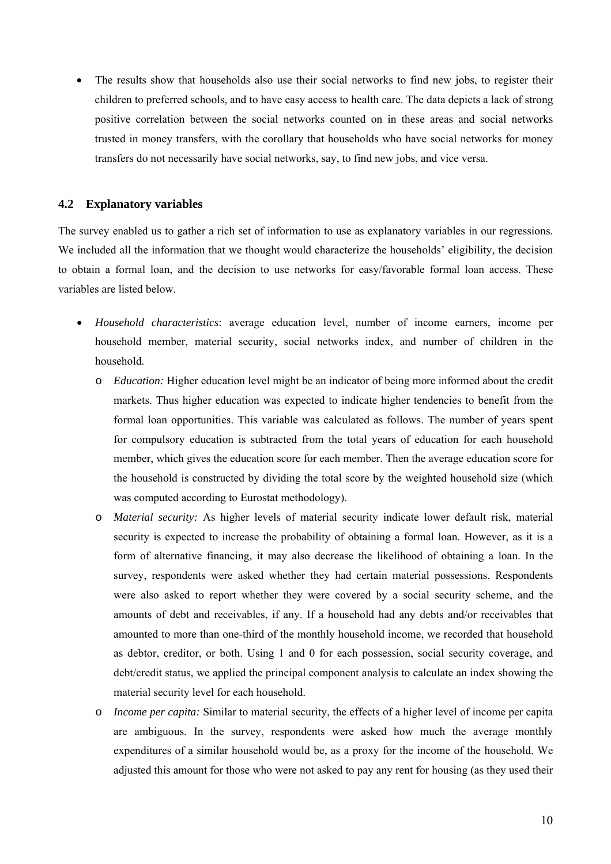The results show that households also use their social networks to find new jobs, to register their children to preferred schools, and to have easy access to health care. The data depicts a lack of strong positive correlation between the social networks counted on in these areas and social networks trusted in money transfers, with the corollary that households who have social networks for money transfers do not necessarily have social networks, say, to find new jobs, and vice versa.

#### **4.2 Explanatory variables**

The survey enabled us to gather a rich set of information to use as explanatory variables in our regressions. We included all the information that we thought would characterize the households' eligibility, the decision to obtain a formal loan, and the decision to use networks for easy/favorable formal loan access. These variables are listed below.

- *Household characteristics*: average education level, number of income earners, income per household member, material security, social networks index, and number of children in the household.
	- o *Education:* Higher education level might be an indicator of being more informed about the credit markets. Thus higher education was expected to indicate higher tendencies to benefit from the formal loan opportunities. This variable was calculated as follows. The number of years spent for compulsory education is subtracted from the total years of education for each household member, which gives the education score for each member. Then the average education score for the household is constructed by dividing the total score by the weighted household size (which was computed according to Eurostat methodology).
	- o *Material security:* As higher levels of material security indicate lower default risk, material security is expected to increase the probability of obtaining a formal loan. However, as it is a form of alternative financing, it may also decrease the likelihood of obtaining a loan. In the survey, respondents were asked whether they had certain material possessions. Respondents were also asked to report whether they were covered by a social security scheme, and the amounts of debt and receivables, if any. If a household had any debts and/or receivables that amounted to more than one-third of the monthly household income, we recorded that household as debtor, creditor, or both. Using 1 and 0 for each possession, social security coverage, and debt/credit status, we applied the principal component analysis to calculate an index showing the material security level for each household.
	- o *Income per capita:* Similar to material security, the effects of a higher level of income per capita are ambiguous. In the survey, respondents were asked how much the average monthly expenditures of a similar household would be, as a proxy for the income of the household. We adjusted this amount for those who were not asked to pay any rent for housing (as they used their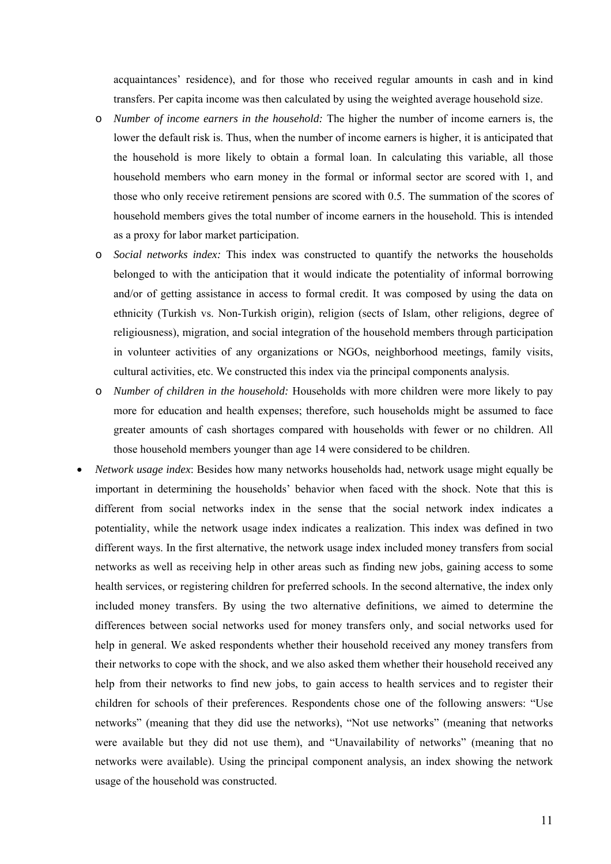acquaintances' residence), and for those who received regular amounts in cash and in kind transfers. Per capita income was then calculated by using the weighted average household size.

- o *Number of income earners in the household:* The higher the number of income earners is, the lower the default risk is. Thus, when the number of income earners is higher, it is anticipated that the household is more likely to obtain a formal loan. In calculating this variable, all those household members who earn money in the formal or informal sector are scored with 1, and those who only receive retirement pensions are scored with 0.5. The summation of the scores of household members gives the total number of income earners in the household. This is intended as a proxy for labor market participation.
- o *Social networks index:* This index was constructed to quantify the networks the households belonged to with the anticipation that it would indicate the potentiality of informal borrowing and/or of getting assistance in access to formal credit. It was composed by using the data on ethnicity (Turkish vs. Non-Turkish origin), religion (sects of Islam, other religions, degree of religiousness), migration, and social integration of the household members through participation in volunteer activities of any organizations or NGOs, neighborhood meetings, family visits, cultural activities, etc. We constructed this index via the principal components analysis.
- o *Number of children in the household:* Households with more children were more likely to pay more for education and health expenses; therefore, such households might be assumed to face greater amounts of cash shortages compared with households with fewer or no children. All those household members younger than age 14 were considered to be children.
- *Network usage index*: Besides how many networks households had, network usage might equally be important in determining the households' behavior when faced with the shock. Note that this is different from social networks index in the sense that the social network index indicates a potentiality, while the network usage index indicates a realization. This index was defined in two different ways. In the first alternative, the network usage index included money transfers from social networks as well as receiving help in other areas such as finding new jobs, gaining access to some health services, or registering children for preferred schools. In the second alternative, the index only included money transfers. By using the two alternative definitions, we aimed to determine the differences between social networks used for money transfers only, and social networks used for help in general. We asked respondents whether their household received any money transfers from their networks to cope with the shock, and we also asked them whether their household received any help from their networks to find new jobs, to gain access to health services and to register their children for schools of their preferences. Respondents chose one of the following answers: "Use networks" (meaning that they did use the networks), "Not use networks" (meaning that networks were available but they did not use them), and "Unavailability of networks" (meaning that no networks were available). Using the principal component analysis, an index showing the network usage of the household was constructed.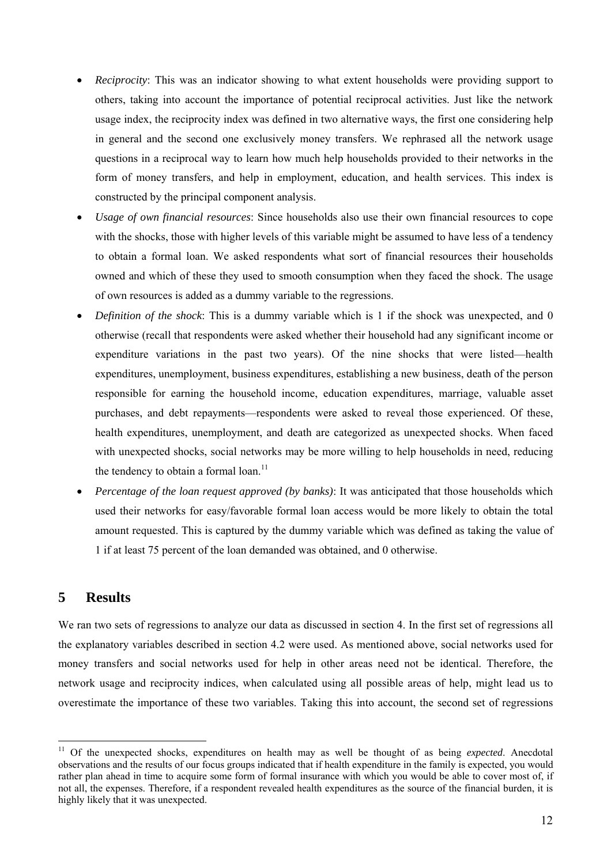- *Reciprocity*: This was an indicator showing to what extent households were providing support to others, taking into account the importance of potential reciprocal activities. Just like the network usage index, the reciprocity index was defined in two alternative ways, the first one considering help in general and the second one exclusively money transfers. We rephrased all the network usage questions in a reciprocal way to learn how much help households provided to their networks in the form of money transfers, and help in employment, education, and health services. This index is constructed by the principal component analysis.
- *Usage of own financial resources*: Since households also use their own financial resources to cope with the shocks, those with higher levels of this variable might be assumed to have less of a tendency to obtain a formal loan. We asked respondents what sort of financial resources their households owned and which of these they used to smooth consumption when they faced the shock. The usage of own resources is added as a dummy variable to the regressions.
- *Definition of the shock*: This is a dummy variable which is 1 if the shock was unexpected, and 0 otherwise (recall that respondents were asked whether their household had any significant income or expenditure variations in the past two years). Of the nine shocks that were listed—health expenditures, unemployment, business expenditures, establishing a new business, death of the person responsible for earning the household income, education expenditures, marriage, valuable asset purchases, and debt repayments—respondents were asked to reveal those experienced. Of these, health expenditures, unemployment, and death are categorized as unexpected shocks. When faced with unexpected shocks, social networks may be more willing to help households in need, reducing the tendency to obtain a formal  $\alpha$ <sub>11</sub>
- *Percentage of the loan request approved (by banks)*: It was anticipated that those households which used their networks for easy/favorable formal loan access would be more likely to obtain the total amount requested. This is captured by the dummy variable which was defined as taking the value of 1 if at least 75 percent of the loan demanded was obtained, and 0 otherwise.

## **5 Results**

 $\overline{a}$ 

We ran two sets of regressions to analyze our data as discussed in section 4. In the first set of regressions all the explanatory variables described in section 4.2 were used. As mentioned above, social networks used for money transfers and social networks used for help in other areas need not be identical. Therefore, the network usage and reciprocity indices, when calculated using all possible areas of help, might lead us to overestimate the importance of these two variables. Taking this into account, the second set of regressions

<sup>&</sup>lt;sup>11</sup> Of the unexpected shocks, expenditures on health may as well be thought of as being *expected*. Anecdotal observations and the results of our focus groups indicated that if health expenditure in the family is expected, you would rather plan ahead in time to acquire some form of formal insurance with which you would be able to cover most of, if not all, the expenses. Therefore, if a respondent revealed health expenditures as the source of the financial burden, it is highly likely that it was unexpected.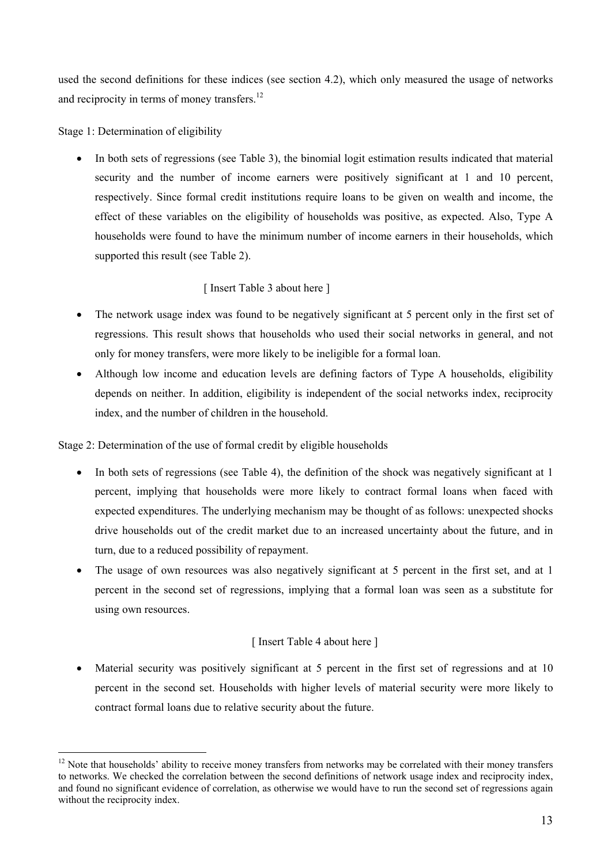used the second definitions for these indices (see section 4.2), which only measured the usage of networks and reciprocity in terms of money transfers.<sup>12</sup>

Stage 1: Determination of eligibility

 $\overline{a}$ 

In both sets of regressions (see Table 3), the binomial logit estimation results indicated that material security and the number of income earners were positively significant at 1 and 10 percent, respectively. Since formal credit institutions require loans to be given on wealth and income, the effect of these variables on the eligibility of households was positive, as expected. Also, Type A households were found to have the minimum number of income earners in their households, which supported this result (see Table 2).

## [ Insert Table 3 about here ]

- The network usage index was found to be negatively significant at 5 percent only in the first set of regressions. This result shows that households who used their social networks in general, and not only for money transfers, were more likely to be ineligible for a formal loan.
- Although low income and education levels are defining factors of Type A households, eligibility depends on neither. In addition, eligibility is independent of the social networks index, reciprocity index, and the number of children in the household.

Stage 2: Determination of the use of formal credit by eligible households

- In both sets of regressions (see Table 4), the definition of the shock was negatively significant at 1 percent, implying that households were more likely to contract formal loans when faced with expected expenditures. The underlying mechanism may be thought of as follows: unexpected shocks drive households out of the credit market due to an increased uncertainty about the future, and in turn, due to a reduced possibility of repayment.
- The usage of own resources was also negatively significant at 5 percent in the first set, and at 1 percent in the second set of regressions, implying that a formal loan was seen as a substitute for using own resources.

## [ Insert Table 4 about here ]

• Material security was positively significant at 5 percent in the first set of regressions and at 10 percent in the second set. Households with higher levels of material security were more likely to contract formal loans due to relative security about the future.

 $12$  Note that households' ability to receive money transfers from networks may be correlated with their money transfers to networks. We checked the correlation between the second definitions of network usage index and reciprocity index, and found no significant evidence of correlation, as otherwise we would have to run the second set of regressions again without the reciprocity index.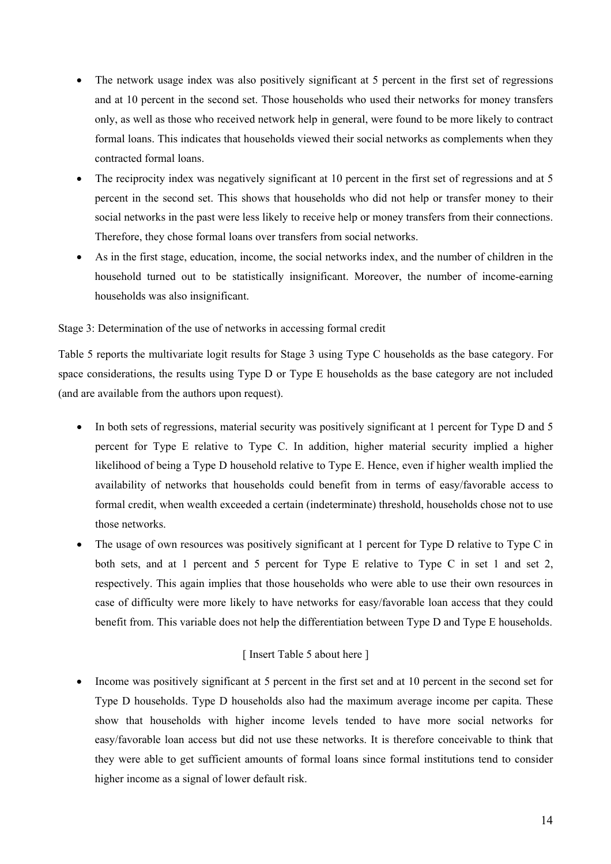- The network usage index was also positively significant at 5 percent in the first set of regressions and at 10 percent in the second set. Those households who used their networks for money transfers only, as well as those who received network help in general, were found to be more likely to contract formal loans. This indicates that households viewed their social networks as complements when they contracted formal loans.
- The reciprocity index was negatively significant at 10 percent in the first set of regressions and at 5 percent in the second set. This shows that households who did not help or transfer money to their social networks in the past were less likely to receive help or money transfers from their connections. Therefore, they chose formal loans over transfers from social networks.
- As in the first stage, education, income, the social networks index, and the number of children in the household turned out to be statistically insignificant. Moreover, the number of income-earning households was also insignificant.

#### Stage 3: Determination of the use of networks in accessing formal credit

Table 5 reports the multivariate logit results for Stage 3 using Type C households as the base category. For space considerations, the results using Type D or Type E households as the base category are not included (and are available from the authors upon request).

- In both sets of regressions, material security was positively significant at 1 percent for Type D and 5 percent for Type E relative to Type C. In addition, higher material security implied a higher likelihood of being a Type D household relative to Type E. Hence, even if higher wealth implied the availability of networks that households could benefit from in terms of easy/favorable access to formal credit, when wealth exceeded a certain (indeterminate) threshold, households chose not to use those networks.
- The usage of own resources was positively significant at 1 percent for Type D relative to Type C in both sets, and at 1 percent and 5 percent for Type E relative to Type C in set 1 and set 2, respectively. This again implies that those households who were able to use their own resources in case of difficulty were more likely to have networks for easy/favorable loan access that they could benefit from. This variable does not help the differentiation between Type D and Type E households.

### [ Insert Table 5 about here ]

• Income was positively significant at 5 percent in the first set and at 10 percent in the second set for Type D households. Type D households also had the maximum average income per capita. These show that households with higher income levels tended to have more social networks for easy/favorable loan access but did not use these networks. It is therefore conceivable to think that they were able to get sufficient amounts of formal loans since formal institutions tend to consider higher income as a signal of lower default risk.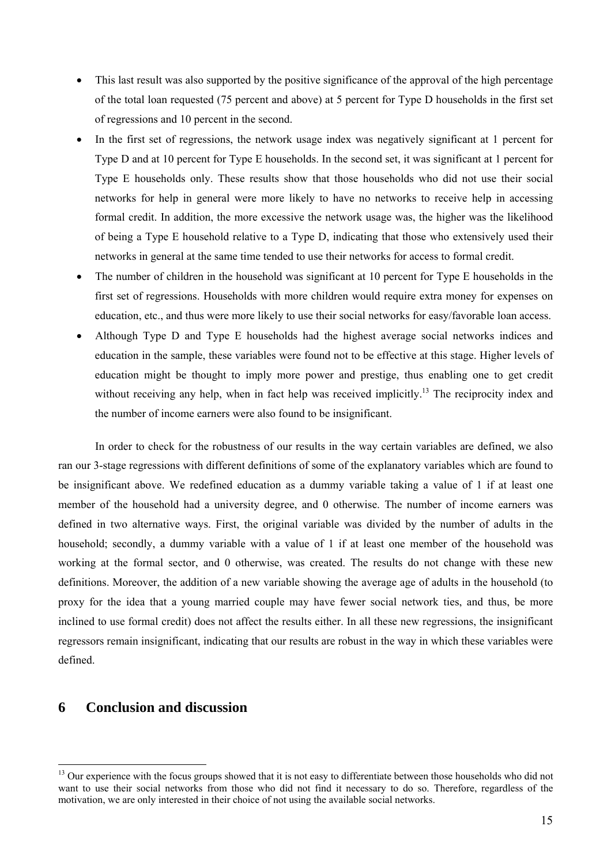- This last result was also supported by the positive significance of the approval of the high percentage of the total loan requested (75 percent and above) at 5 percent for Type D households in the first set of regressions and 10 percent in the second.
- In the first set of regressions, the network usage index was negatively significant at 1 percent for Type D and at 10 percent for Type E households. In the second set, it was significant at 1 percent for Type E households only. These results show that those households who did not use their social networks for help in general were more likely to have no networks to receive help in accessing formal credit. In addition, the more excessive the network usage was, the higher was the likelihood of being a Type E household relative to a Type D, indicating that those who extensively used their networks in general at the same time tended to use their networks for access to formal credit.
- The number of children in the household was significant at 10 percent for Type E households in the first set of regressions. Households with more children would require extra money for expenses on education, etc., and thus were more likely to use their social networks for easy/favorable loan access.
- Although Type D and Type E households had the highest average social networks indices and education in the sample, these variables were found not to be effective at this stage. Higher levels of education might be thought to imply more power and prestige, thus enabling one to get credit without receiving any help, when in fact help was received implicitly.<sup>13</sup> The reciprocity index and the number of income earners were also found to be insignificant.

In order to check for the robustness of our results in the way certain variables are defined, we also ran our 3-stage regressions with different definitions of some of the explanatory variables which are found to be insignificant above. We redefined education as a dummy variable taking a value of 1 if at least one member of the household had a university degree, and 0 otherwise. The number of income earners was defined in two alternative ways. First, the original variable was divided by the number of adults in the household; secondly, a dummy variable with a value of 1 if at least one member of the household was working at the formal sector, and 0 otherwise, was created. The results do not change with these new definitions. Moreover, the addition of a new variable showing the average age of adults in the household (to proxy for the idea that a young married couple may have fewer social network ties, and thus, be more inclined to use formal credit) does not affect the results either. In all these new regressions, the insignificant regressors remain insignificant, indicating that our results are robust in the way in which these variables were defined.

## **6 Conclusion and discussion**

<sup>&</sup>lt;sup>13</sup> Our experience with the focus groups showed that it is not easy to differentiate between those households who did not want to use their social networks from those who did not find it necessary to do so. Therefore, regardless of the motivation, we are only interested in their choice of not using the available social networks.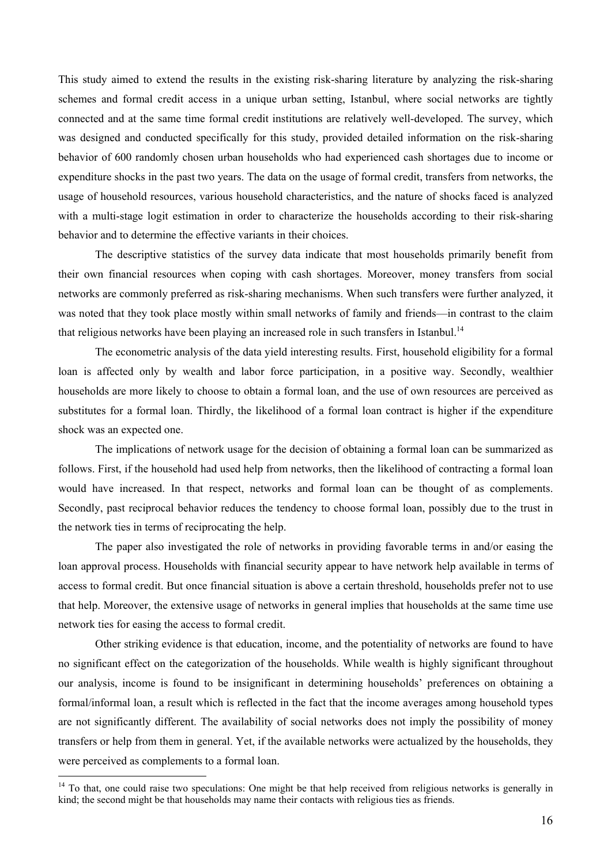This study aimed to extend the results in the existing risk-sharing literature by analyzing the risk-sharing schemes and formal credit access in a unique urban setting, Istanbul, where social networks are tightly connected and at the same time formal credit institutions are relatively well-developed. The survey, which was designed and conducted specifically for this study, provided detailed information on the risk-sharing behavior of 600 randomly chosen urban households who had experienced cash shortages due to income or expenditure shocks in the past two years. The data on the usage of formal credit, transfers from networks, the usage of household resources, various household characteristics, and the nature of shocks faced is analyzed with a multi-stage logit estimation in order to characterize the households according to their risk-sharing behavior and to determine the effective variants in their choices.

The descriptive statistics of the survey data indicate that most households primarily benefit from their own financial resources when coping with cash shortages. Moreover, money transfers from social networks are commonly preferred as risk-sharing mechanisms. When such transfers were further analyzed, it was noted that they took place mostly within small networks of family and friends—in contrast to the claim that religious networks have been playing an increased role in such transfers in Istanbul.<sup>14</sup>

The econometric analysis of the data yield interesting results. First, household eligibility for a formal loan is affected only by wealth and labor force participation, in a positive way. Secondly, wealthier households are more likely to choose to obtain a formal loan, and the use of own resources are perceived as substitutes for a formal loan. Thirdly, the likelihood of a formal loan contract is higher if the expenditure shock was an expected one.

The implications of network usage for the decision of obtaining a formal loan can be summarized as follows. First, if the household had used help from networks, then the likelihood of contracting a formal loan would have increased. In that respect, networks and formal loan can be thought of as complements. Secondly, past reciprocal behavior reduces the tendency to choose formal loan, possibly due to the trust in the network ties in terms of reciprocating the help.

The paper also investigated the role of networks in providing favorable terms in and/or easing the loan approval process. Households with financial security appear to have network help available in terms of access to formal credit. But once financial situation is above a certain threshold, households prefer not to use that help. Moreover, the extensive usage of networks in general implies that households at the same time use network ties for easing the access to formal credit.

Other striking evidence is that education, income, and the potentiality of networks are found to have no significant effect on the categorization of the households. While wealth is highly significant throughout our analysis, income is found to be insignificant in determining households' preferences on obtaining a formal/informal loan, a result which is reflected in the fact that the income averages among household types are not significantly different. The availability of social networks does not imply the possibility of money transfers or help from them in general. Yet, if the available networks were actualized by the households, they were perceived as complements to a formal loan.

<sup>&</sup>lt;sup>14</sup> To that, one could raise two speculations: One might be that help received from religious networks is generally in kind; the second might be that households may name their contacts with religious ties as friends.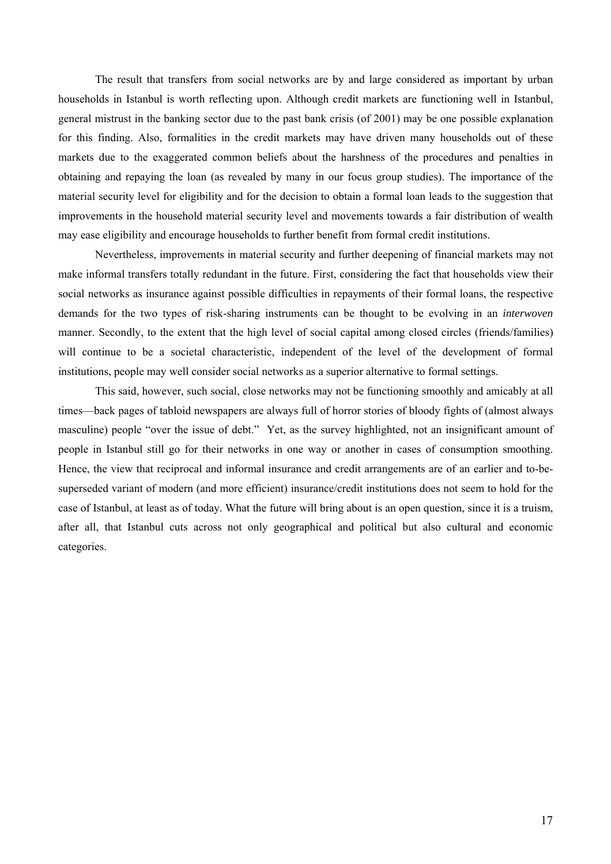The result that transfers from social networks are by and large considered as important by urban households in Istanbul is worth reflecting upon. Although credit markets are functioning well in Istanbul, general mistrust in the banking sector due to the past bank crisis (of 2001) may be one possible explanation for this finding. Also, formalities in the credit markets may have driven many households out of these markets due to the exaggerated common beliefs about the harshness of the procedures and penalties in obtaining and repaying the loan (as revealed by many in our focus group studies). The importance of the material security level for eligibility and for the decision to obtain a formal loan leads to the suggestion that improvements in the household material security level and movements towards a fair distribution of wealth may ease eligibility and encourage households to further benefit from formal credit institutions.

Nevertheless, improvements in material security and further deepening of financial markets may not make informal transfers totally redundant in the future. First, considering the fact that households view their social networks as insurance against possible difficulties in repayments of their formal loans, the respective demands for the two types of risk-sharing instruments can be thought to be evolving in an *interwoven* manner. Secondly, to the extent that the high level of social capital among closed circles (friends/families) will continue to be a societal characteristic, independent of the level of the development of formal institutions, people may well consider social networks as a superior alternative to formal settings.

This said, however, such social, close networks may not be functioning smoothly and amicably at all times—back pages of tabloid newspapers are always full of horror stories of bloody fights of (almost always masculine) people "over the issue of debt." Yet, as the survey highlighted, not an insignificant amount of people in Istanbul still go for their networks in one way or another in cases of consumption smoothing. Hence, the view that reciprocal and informal insurance and credit arrangements are of an earlier and to-besuperseded variant of modern (and more efficient) insurance/credit institutions does not seem to hold for the case of Istanbul, at least as of today. What the future will bring about is an open question, since it is a truism, after all, that Istanbul cuts across not only geographical and political but also cultural and economic categories.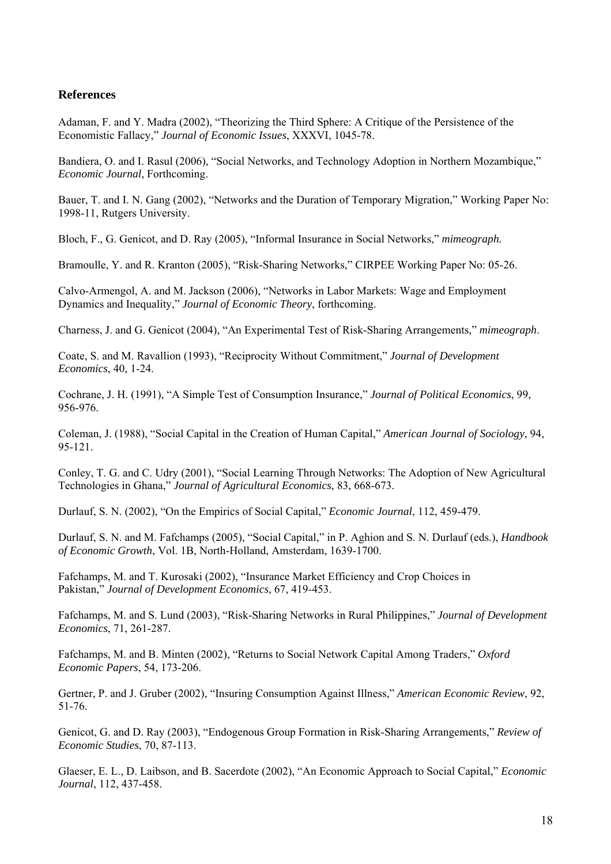### **References**

Adaman, F. and Y. Madra (2002), "Theorizing the Third Sphere: A Critique of the Persistence of the Economistic Fallacy," *Journal of Economic Issues*, XXXVI, 1045-78.

Bandiera, O. and I. Rasul (2006), "Social Networks, and Technology Adoption in Northern Mozambique," *Economic Journal*, Forthcoming.

Bauer, T. and I. N. Gang (2002), "Networks and the Duration of Temporary Migration," Working Paper No: 1998-11, Rutgers University.

Bloch, F., G. Genicot, and D. Ray (2005), "Informal Insurance in Social Networks," *mimeograph.*

Bramoulle, Y. and R. Kranton (2005), "Risk-Sharing Networks," CIRPEE Working Paper No: 05-26.

Calvo-Armengol, A. and M. Jackson (2006), "Networks in Labor Markets: Wage and Employment Dynamics and Inequality," *Journal of Economic Theory*, forthcoming.

Charness, J. and G. Genicot (2004), "An Experimental Test of Risk-Sharing Arrangements," *mimeograph*.

Coate, S. and M. Ravallion (1993), "Reciprocity Without Commitment," *Journal of Development Economics*, 40, 1-24.

Cochrane, J. H. (1991), "A Simple Test of Consumption Insurance," *Journal of Political Economics*, 99, 956-976.

Coleman, J. (1988), "Social Capital in the Creation of Human Capital," *American Journal of Sociology*, 94, 95-121.

Conley, T. G. and C. Udry (2001), "Social Learning Through Networks: The Adoption of New Agricultural Technologies in Ghana," *Journal of Agricultural Economics*, 83, 668-673.

Durlauf, S. N. (2002), "On the Empirics of Social Capital," *Economic Journal*, 112, 459-479.

Durlauf, S. N. and M. Fafchamps (2005), "Social Capital," in P. Aghion and S. N. Durlauf (eds.), *Handbook of Economic Growth*, Vol. 1B, North-Holland, Amsterdam, 1639-1700.

Fafchamps, M. and T. Kurosaki (2002), "Insurance Market Efficiency and Crop Choices in Pakistan," *Journal of Development Economics*, 67, 419-453.

Fafchamps, M. and S. Lund (2003), "Risk-Sharing Networks in Rural Philippines," *Journal of Development Economics*, 71, 261-287.

Fafchamps, M. and B. Minten (2002), "Returns to Social Network Capital Among Traders," *Oxford Economic Papers*, 54, 173-206.

Gertner, P. and J. Gruber (2002), "Insuring Consumption Against Illness," *American Economic Review*, 92, 51-76.

Genicot, G. and D. Ray (2003), "Endogenous Group Formation in Risk-Sharing Arrangements," *Review of Economic Studies*, 70, 87-113.

Glaeser, E. L., D. Laibson, and B. Sacerdote (2002), "An Economic Approach to Social Capital," *Economic Journal*, 112, 437-458.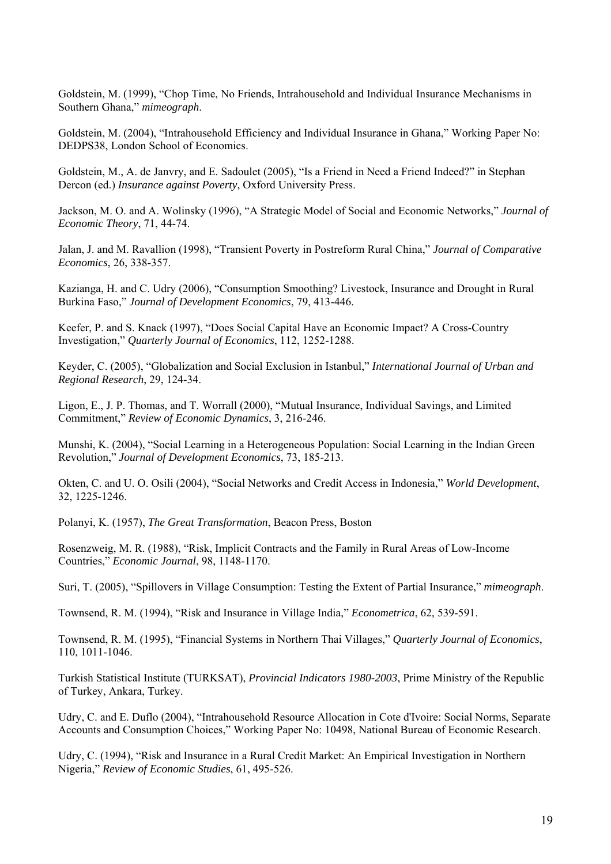Goldstein, M. (1999), "Chop Time, No Friends, Intrahousehold and Individual Insurance Mechanisms in Southern Ghana," *mimeograph*.

Goldstein, M. (2004), "Intrahousehold Efficiency and Individual Insurance in Ghana," Working Paper No: DEDPS38, London School of Economics.

Goldstein, M., A. de Janvry, and E. Sadoulet (2005), "Is a Friend in Need a Friend Indeed?" in Stephan Dercon (ed.) *Insurance against Poverty*, Oxford University Press.

Jackson, M. O. and A. Wolinsky (1996), "A Strategic Model of Social and Economic Networks," *Journal of Economic Theory*, 71, 44-74.

Jalan, J. and M. Ravallion (1998), "Transient Poverty in Postreform Rural China," *Journal of Comparative Economics*, 26, 338-357.

Kazianga, H. and C. Udry (2006), "Consumption Smoothing? Livestock, Insurance and Drought in Rural Burkina Faso," *Journal of Development Economics*, 79, 413-446.

Keefer, P. and S. Knack (1997), "Does Social Capital Have an Economic Impact? A Cross-Country Investigation," *Quarterly Journal of Economics*, 112, 1252-1288.

Keyder, C. (2005), "Globalization and Social Exclusion in Istanbul," *International Journal of Urban and Regional Research*, 29, 124-34.

Ligon, E., J. P. Thomas, and T. Worrall (2000), "Mutual Insurance, Individual Savings, and Limited Commitment," *Review of Economic Dynamics*, 3, 216-246.

Munshi, K. (2004), "Social Learning in a Heterogeneous Population: Social Learning in the Indian Green Revolution," *Journal of Development Economics*, 73, 185-213.

Okten, C. and U. O. Osili (2004), "Social Networks and Credit Access in Indonesia," *World Development*, 32, 1225-1246.

Polanyi, K. (1957), *The Great Transformation*, Beacon Press, Boston

Rosenzweig, M. R. (1988), "Risk, Implicit Contracts and the Family in Rural Areas of Low-Income Countries," *Economic Journal*, 98, 1148-1170.

Suri, T. (2005), "Spillovers in Village Consumption: Testing the Extent of Partial Insurance," *mimeograph*.

Townsend, R. M. (1994), "Risk and Insurance in Village India," *Econometrica*, 62, 539-591.

Townsend, R. M. (1995), "Financial Systems in Northern Thai Villages," *Quarterly Journal of Economics*, 110, 1011-1046.

Turkish Statistical Institute (TURKSAT), *Provincial Indicators 1980-2003*, Prime Ministry of the Republic of Turkey, Ankara, Turkey.

Udry, C. and E. Duflo (2004), "Intrahousehold Resource Allocation in Cote d'Ivoire: Social Norms, Separate Accounts and Consumption Choices," Working Paper No: 10498, National Bureau of Economic Research.

Udry, C. (1994), "Risk and Insurance in a Rural Credit Market: An Empirical Investigation in Northern Nigeria," *Review of Economic Studies*, 61, 495-526.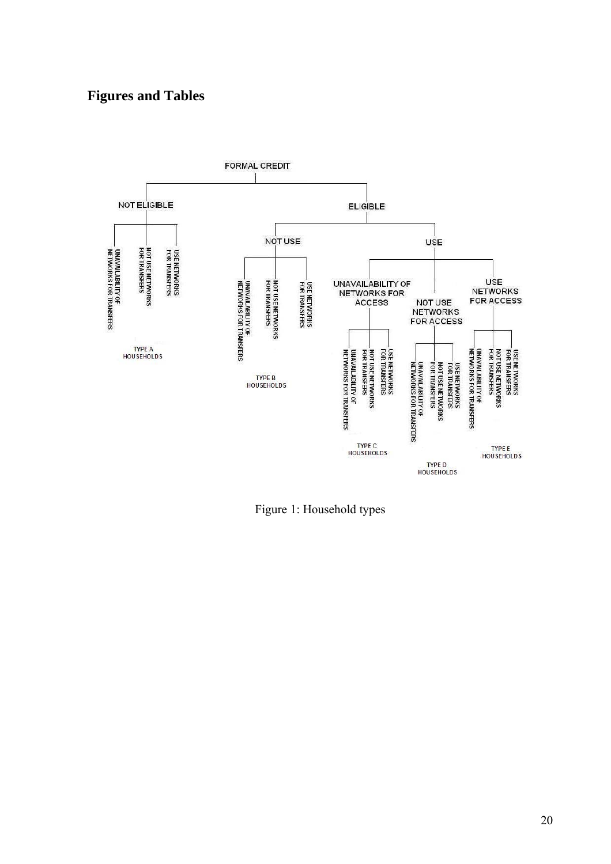# **Figures and Tables**



Figure 1: Household types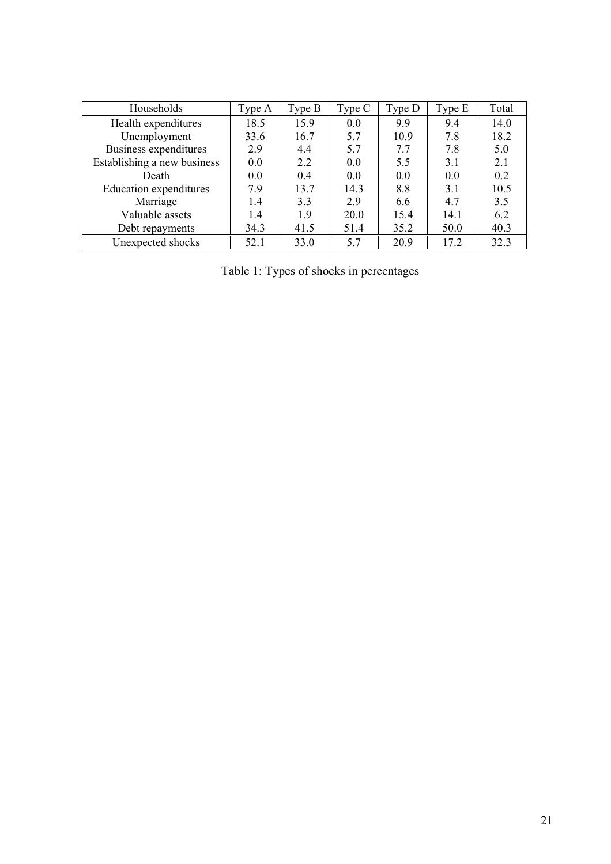| Households                  | Type A | Type B | Type C | Type D | Type E | Total |
|-----------------------------|--------|--------|--------|--------|--------|-------|
| Health expenditures         | 18.5   | 15.9   | 0.0    | 99     | 9.4    | 14.0  |
| Unemployment                | 33.6   | 16.7   | 5.7    | 10.9   | 7.8    | 18.2  |
| Business expenditures       | 2.9    | 4.4    | 5.7    | 7.7    | 7.8    | 5.0   |
| Establishing a new business | 0.0    | 2.2    | 0.0    | 5.5    | 3.1    | 2.1   |
| Death                       | 0.0    | 0.4    | 0.0    | 0.0    | 0.0    | 0.2   |
| Education expenditures      | 7.9    | 13.7   | 14.3   | 8.8    | 3.1    | 10.5  |
| Marriage                    | 1.4    | 3.3    | 2.9    | 6.6    | 4.7    | 3.5   |
| Valuable assets             | 1.4    | 1.9    | 20.0   | 15.4   | 14.1   | 6.2   |
| Debt repayments             | 34.3   | 41.5   | 51.4   | 35.2   | 50.0   | 40.3  |
| Unexpected shocks           | 52.1   | 33.0   | 5.7    | 20.9   | 17.2   | 32.3  |

Table 1: Types of shocks in percentages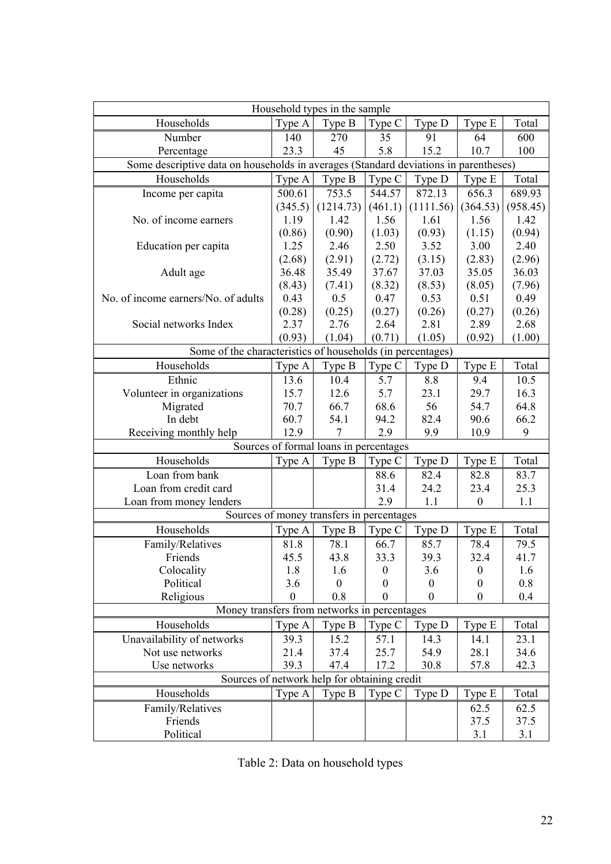| Household types in the sample                                                        |                 |                                           |                  |                  |                  |                 |  |
|--------------------------------------------------------------------------------------|-----------------|-------------------------------------------|------------------|------------------|------------------|-----------------|--|
| Households                                                                           | Type A          | Type B                                    | Type C           | Type D           | Type E           | Total           |  |
| Number                                                                               | 140             | 270                                       | 35               | 91               | 64               | 600             |  |
| Percentage                                                                           | 23.3            | 45                                        | 5.8              | 15.2             | 10.7             | 100             |  |
| Some descriptive data on households in averages (Standard deviations in parentheses) |                 |                                           |                  |                  |                  |                 |  |
| Households                                                                           | Type A          | Type B                                    | Type C           | Type D           | Type E           | Total           |  |
| Income per capita                                                                    | 500.61          | 753.5                                     | 544.57           | 872.13           | 656.3            | 689.93          |  |
|                                                                                      | (345.5)         | (1214.73)                                 | (461.1)          | (1111.56)        | (364.53)         | (958.45)        |  |
| No. of income earners                                                                | 1.19            | 1.42                                      | 1.56             | 1.61             | 1.56             | 1.42            |  |
|                                                                                      | (0.86)          | (0.90)                                    | (1.03)           | (0.93)           | (1.15)           | (0.94)          |  |
| Education per capita                                                                 | 1.25            | 2.46                                      | 2.50             | 3.52             | 3.00             | 2.40            |  |
|                                                                                      | (2.68)          | (2.91)                                    | (2.72)           | (3.15)           | (2.83)           | (2.96)          |  |
| Adult age                                                                            | 36.48<br>(8.43) | 35.49<br>(7.41)                           | 37.67<br>(8.32)  | 37.03            | 35.05            | 36.03<br>(7.96) |  |
| No. of income earners/No. of adults                                                  | 0.43            | 0.5                                       | 0.47             | (8.53)<br>0.53   | (8.05)<br>0.51   | 0.49            |  |
|                                                                                      | (0.28)          | (0.25)                                    | (0.27)           | (0.26)           | (0.27)           | (0.26)          |  |
| Social networks Index                                                                | 2.37            | 2.76                                      | 2.64             | 2.81             | 2.89             | 2.68            |  |
|                                                                                      | (0.93)          | (1.04)                                    | (0.71)           | (1.05)           | (0.92)           | (1.00)          |  |
| Some of the characteristics of households (in percentages)                           |                 |                                           |                  |                  |                  |                 |  |
| Households                                                                           | Type A          | Type B                                    | Type C           | Type D           | Type E           | Total           |  |
| Ethnic                                                                               | 13.6            | 10.4                                      | 5.7              | 8.8              | 9.4              | 10.5            |  |
| Volunteer in organizations                                                           | 15.7            | 12.6                                      | 5.7              | 23.1             | 29.7             | 16.3            |  |
| Migrated                                                                             | 70.7            | 66.7                                      | 68.6             | 56               | 54.7             | 64.8            |  |
| In debt                                                                              | 60.7            | 54.1                                      | 94.2             | 82.4             | 90.6             | 66.2            |  |
| Receiving monthly help                                                               | 12.9            | 7                                         | 2.9              | 9.9              | 10.9             | 9               |  |
| Sources of formal loans in percentages                                               |                 |                                           |                  |                  |                  |                 |  |
| Households                                                                           | Type A          | Type B                                    | Type C           | Type D           | Type E           | Total           |  |
| Loan from bank                                                                       |                 |                                           | 88.6             | 82.4             | 82.8             | 83.7            |  |
| Loan from credit card                                                                |                 |                                           | 31.4             | 24.2             | 23.4             | 25.3            |  |
| Loan from money lenders                                                              |                 |                                           | 2.9              | 1.1              | $\boldsymbol{0}$ | 1.1             |  |
|                                                                                      |                 | Sources of money transfers in percentages |                  |                  |                  |                 |  |
| Households                                                                           | Type A          | Type B                                    | Type C           | Type D           | Type E           | Total           |  |
| Family/Relatives                                                                     | 81.8            | 78.1                                      | 66.7             | 85.7             | 78.4             | 79.5            |  |
| Friends                                                                              | 45.5            | 43.8                                      | 33.3             | 39.3             | 32.4             | 41.7            |  |
| Colocality                                                                           | 1.8             | 1.6                                       | $\boldsymbol{0}$ | 3.6              | $\boldsymbol{0}$ | 1.6             |  |
| Political                                                                            | 3.6             | $\boldsymbol{0}$                          | $\boldsymbol{0}$ | $\boldsymbol{0}$ | $\boldsymbol{0}$ | 0.8             |  |
| Religious                                                                            | $\mathbf{0}$    | 0.8                                       | $\boldsymbol{0}$ | $\boldsymbol{0}$ | $\boldsymbol{0}$ | 0.4             |  |
| Money transfers from networks in percentages                                         |                 |                                           |                  |                  |                  |                 |  |
| Households                                                                           | Type A          | Type B                                    | Type C           | Type D           | Type E           | Total           |  |
| Unavailability of networks                                                           | 39.3            | 15.2                                      | 57.1             | 14.3             | 14.1             | 23.1            |  |
| Not use networks                                                                     | 21.4            | 37.4                                      | 25.7             | 54.9             | 28.1             | 34.6            |  |
| Use networks                                                                         | 39.3            | 47.4                                      | 17.2             | 30.8             | 57.8             | 42.3            |  |
| Sources of network help for obtaining credit<br>Type B<br>Type C                     |                 |                                           |                  |                  |                  |                 |  |
| Households                                                                           | Type A          |                                           |                  | Type D           | Type E           | Total           |  |
| Family/Relatives<br>Friends                                                          |                 |                                           |                  |                  | 62.5<br>37.5     | 62.5<br>37.5    |  |
| Political                                                                            |                 |                                           |                  |                  | 3.1              | 3.1             |  |

Table 2: Data on household types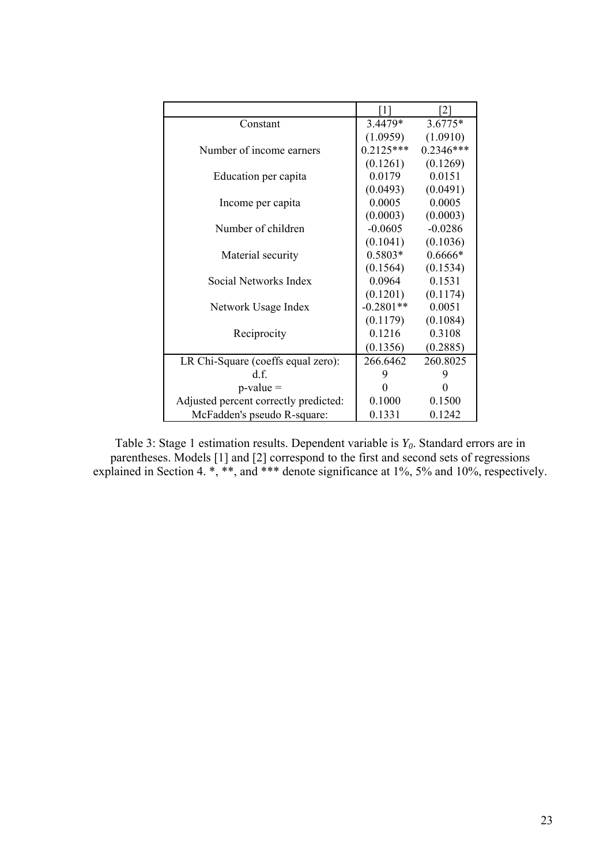|                                       | 111         | <sup>2</sup> |
|---------------------------------------|-------------|--------------|
| Constant                              | $3.4479*$   | $3.6775*$    |
|                                       | (1.0959)    | (1.0910)     |
| Number of income earners              | $0.2125***$ | $0.2346***$  |
|                                       | (0.1261)    | (0.1269)     |
| Education per capita                  | 0.0179      | 0.0151       |
|                                       | (0.0493)    | (0.0491)     |
| Income per capita                     | 0.0005      | 0.0005       |
|                                       | (0.0003)    | (0.0003)     |
| Number of children                    | $-0.0605$   | $-0.0286$    |
|                                       | (0.1041)    | (0.1036)     |
| Material security                     | $0.5803*$   | $0.6666*$    |
|                                       | (0.1564)    | (0.1534)     |
| Social Networks Index                 | 0.0964      | 0.1531       |
|                                       | (0.1201)    | (0.1174)     |
| Network Usage Index                   | $-0.2801**$ | 0.0051       |
|                                       | (0.1179)    | (0.1084)     |
| Reciprocity                           | 0.1216      | 0.3108       |
|                                       | (0.1356)    | (0.2885)     |
| LR Chi-Square (coeffs equal zero):    | 266.6462    | 260.8025     |
| d f                                   | 9           | 9            |
| $p-value =$                           | $\theta$    | 0            |
| Adjusted percent correctly predicted: | 0.1000      | 0.1500       |
| McFadden's pseudo R-square:           | 0.1331      | 0.1242       |

Table 3: Stage 1 estimation results. Dependent variable is *Y0*. Standard errors are in parentheses. Models [1] and [2] correspond to the first and second sets of regressions explained in Section 4. \*, \*\*, and \*\*\* denote significance at 1%, 5% and 10%, respectively.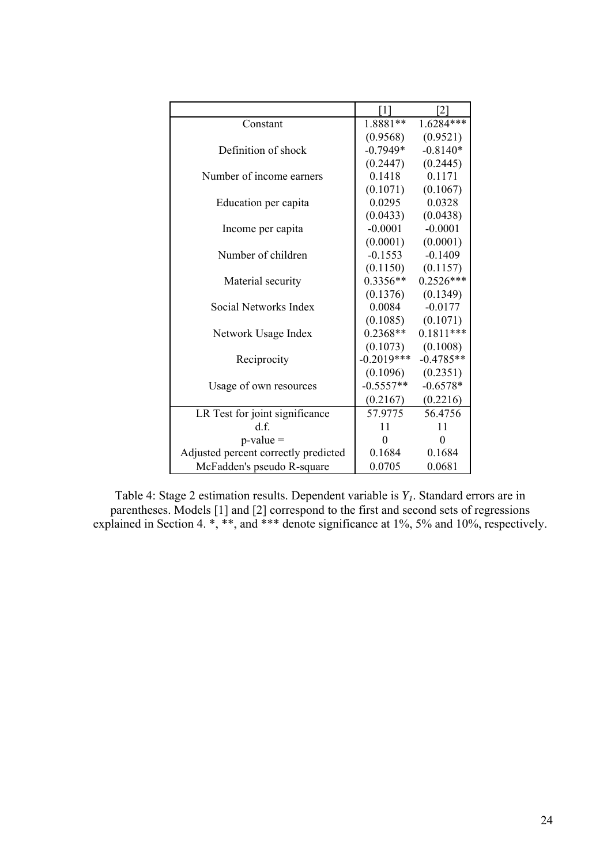|                                      | [1]            | [2]         |
|--------------------------------------|----------------|-------------|
| Constant                             | 1.8881**       | 1.6284***   |
|                                      | (0.9568)       | (0.9521)    |
| Definition of shock                  | $-0.7949*$     | $-0.8140*$  |
|                                      | (0.2447)       | (0.2445)    |
| Number of income earners             | 0.1418         | 0.1171      |
|                                      | (0.1071)       | (0.1067)    |
| Education per capita                 | 0.0295         | 0.0328      |
|                                      | (0.0433)       | (0.0438)    |
| Income per capita                    | $-0.0001$      | $-0.0001$   |
|                                      | (0.0001)       | (0.0001)    |
| Number of children                   | $-0.1553$      | $-0.1409$   |
|                                      | (0.1150)       | (0.1157)    |
| Material security                    | $0.3356**$     | $0.2526***$ |
|                                      | (0.1376)       | (0.1349)    |
| Social Networks Index                | 0.0084         | $-0.0177$   |
|                                      | (0.1085)       | (0.1071)    |
| Network Usage Index                  | $0.2368**$     | $0.1811***$ |
|                                      | (0.1073)       | (0.1008)    |
| Reciprocity                          | $-0.2019***$   | $-0.4785**$ |
|                                      | (0.1096)       | (0.2351)    |
| Usage of own resources               | $-0.5557**$    | $-0.6578*$  |
|                                      | (0.2167)       | (0.2216)    |
| LR Test for joint significance       | 57.9775        | 56.4756     |
| d.f.                                 | 11             | 11          |
| $p-value =$                          | $\overline{0}$ | $\theta$    |
| Adjusted percent correctly predicted | 0.1684         | 0.1684      |
| McFadden's pseudo R-square           | 0.0705         | 0.0681      |

Table 4: Stage 2 estimation results. Dependent variable is *Y1*. Standard errors are in parentheses. Models [1] and [2] correspond to the first and second sets of regressions explained in Section 4. \*, \*\*, and \*\*\* denote significance at 1%, 5% and 10%, respectively.